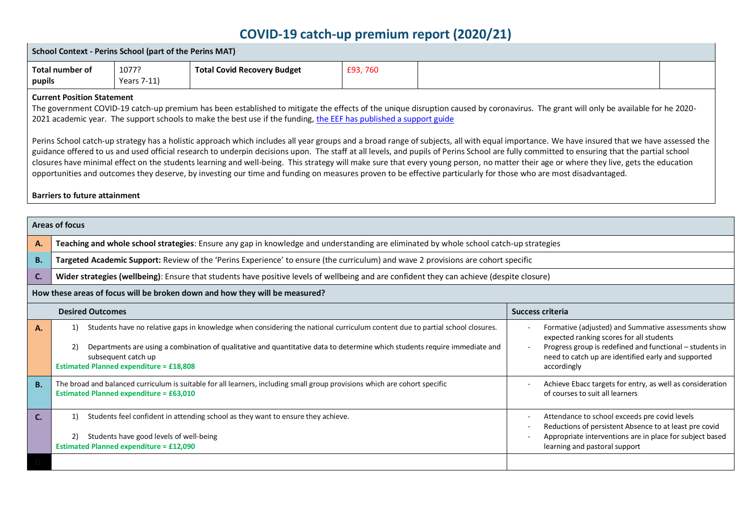## **COVID-19 catch-up premium report (2020/21)**

| <b>School Context - Perins School (part of the Perins MAT)</b>                                                                                                                                                                                                                                                                                                                                                                                                                                                                                                                                                                                                                                                                                                                                                                                                                                                                                                                                                                                                                                                                                   |                                                                                                                                                                              |                                                                                              |                                                                                                                                                                                                                                                            |         |                                                                                              |                         |                                                                                                                                                                                                                                   |  |
|--------------------------------------------------------------------------------------------------------------------------------------------------------------------------------------------------------------------------------------------------------------------------------------------------------------------------------------------------------------------------------------------------------------------------------------------------------------------------------------------------------------------------------------------------------------------------------------------------------------------------------------------------------------------------------------------------------------------------------------------------------------------------------------------------------------------------------------------------------------------------------------------------------------------------------------------------------------------------------------------------------------------------------------------------------------------------------------------------------------------------------------------------|------------------------------------------------------------------------------------------------------------------------------------------------------------------------------|----------------------------------------------------------------------------------------------|------------------------------------------------------------------------------------------------------------------------------------------------------------------------------------------------------------------------------------------------------------|---------|----------------------------------------------------------------------------------------------|-------------------------|-----------------------------------------------------------------------------------------------------------------------------------------------------------------------------------------------------------------------------------|--|
| pupils                                                                                                                                                                                                                                                                                                                                                                                                                                                                                                                                                                                                                                                                                                                                                                                                                                                                                                                                                                                                                                                                                                                                           | <b>Total number of</b>                                                                                                                                                       | 1077?<br>Years 7-11)                                                                         | <b>Total Covid Recovery Budget</b>                                                                                                                                                                                                                         | £93,760 |                                                                                              |                         |                                                                                                                                                                                                                                   |  |
| <b>Current Position Statement</b><br>The government COVID-19 catch-up premium has been established to mitigate the effects of the unique disruption caused by coronavirus. The grant will only be available for he 2020-<br>2021 academic year. The support schools to make the best use if the funding, the EEF has published a support guide<br>Perins School catch-up strategy has a holistic approach which includes all year groups and a broad range of subjects, all with equal importance. We have insured that we have assessed the<br>guidance offered to us and used official research to underpin decisions upon. The staff at all levels, and pupils of Perins School are fully committed to ensuring that the partial school<br>closures have minimal effect on the students learning and well-being. This strategy will make sure that every young person, no matter their age or where they live, gets the education<br>opportunities and outcomes they deserve, by investing our time and funding on measures proven to be effective particularly for those who are most disadvantaged.<br><b>Barriers to future attainment</b> |                                                                                                                                                                              |                                                                                              |                                                                                                                                                                                                                                                            |         |                                                                                              |                         |                                                                                                                                                                                                                                   |  |
|                                                                                                                                                                                                                                                                                                                                                                                                                                                                                                                                                                                                                                                                                                                                                                                                                                                                                                                                                                                                                                                                                                                                                  | <b>Areas of focus</b>                                                                                                                                                        |                                                                                              |                                                                                                                                                                                                                                                            |         |                                                                                              |                         |                                                                                                                                                                                                                                   |  |
| А.                                                                                                                                                                                                                                                                                                                                                                                                                                                                                                                                                                                                                                                                                                                                                                                                                                                                                                                                                                                                                                                                                                                                               |                                                                                                                                                                              |                                                                                              | Teaching and whole school strategies: Ensure any gap in knowledge and understanding are eliminated by whole school catch-up strategies                                                                                                                     |         |                                                                                              |                         |                                                                                                                                                                                                                                   |  |
| <b>B.</b>                                                                                                                                                                                                                                                                                                                                                                                                                                                                                                                                                                                                                                                                                                                                                                                                                                                                                                                                                                                                                                                                                                                                        |                                                                                                                                                                              |                                                                                              | Targeted Academic Support: Review of the 'Perins Experience' to ensure (the curriculum) and wave 2 provisions are cohort specific                                                                                                                          |         |                                                                                              |                         |                                                                                                                                                                                                                                   |  |
| C.                                                                                                                                                                                                                                                                                                                                                                                                                                                                                                                                                                                                                                                                                                                                                                                                                                                                                                                                                                                                                                                                                                                                               |                                                                                                                                                                              |                                                                                              | Wider strategies (wellbeing): Ensure that students have positive levels of wellbeing and are confident they can achieve (despite closure)                                                                                                                  |         |                                                                                              |                         |                                                                                                                                                                                                                                   |  |
|                                                                                                                                                                                                                                                                                                                                                                                                                                                                                                                                                                                                                                                                                                                                                                                                                                                                                                                                                                                                                                                                                                                                                  |                                                                                                                                                                              |                                                                                              | How these areas of focus will be broken down and how they will be measured?                                                                                                                                                                                |         |                                                                                              |                         |                                                                                                                                                                                                                                   |  |
|                                                                                                                                                                                                                                                                                                                                                                                                                                                                                                                                                                                                                                                                                                                                                                                                                                                                                                                                                                                                                                                                                                                                                  | <b>Desired Outcomes</b>                                                                                                                                                      |                                                                                              |                                                                                                                                                                                                                                                            |         |                                                                                              | <b>Success criteria</b> |                                                                                                                                                                                                                                   |  |
| А.                                                                                                                                                                                                                                                                                                                                                                                                                                                                                                                                                                                                                                                                                                                                                                                                                                                                                                                                                                                                                                                                                                                                               | 2)                                                                                                                                                                           | subsequent catch up<br><b>Estimated Planned expenditure = £18,808</b>                        | Students have no relative gaps in knowledge when considering the national curriculum content due to partial school closures.<br>Departments are using a combination of qualitative and quantitative data to determine which students require immediate and |         |                                                                                              |                         | Formative (adjusted) and Summative assessments show<br>expected ranking scores for all students<br>Progress group is redefined and functional - students in<br>need to catch up are identified early and supported<br>accordingly |  |
| <b>B.</b>                                                                                                                                                                                                                                                                                                                                                                                                                                                                                                                                                                                                                                                                                                                                                                                                                                                                                                                                                                                                                                                                                                                                        | The broad and balanced curriculum is suitable for all learners, including small group provisions which are cohort specific<br><b>Estimated Planned expenditure = £63,010</b> |                                                                                              |                                                                                                                                                                                                                                                            |         | Achieve Ebacc targets for entry, as well as consideration<br>of courses to suit all learners |                         |                                                                                                                                                                                                                                   |  |
| C.                                                                                                                                                                                                                                                                                                                                                                                                                                                                                                                                                                                                                                                                                                                                                                                                                                                                                                                                                                                                                                                                                                                                               | 1)                                                                                                                                                                           | 2) Students have good levels of well-being<br><b>Estimated Planned expenditure = £12,090</b> | Students feel confident in attending school as they want to ensure they achieve.                                                                                                                                                                           |         |                                                                                              |                         | Attendance to school exceeds pre covid levels<br>Reductions of persistent Absence to at least pre covid<br>Appropriate interventions are in place for subject based<br>learning and pastoral support                              |  |
|                                                                                                                                                                                                                                                                                                                                                                                                                                                                                                                                                                                                                                                                                                                                                                                                                                                                                                                                                                                                                                                                                                                                                  |                                                                                                                                                                              |                                                                                              |                                                                                                                                                                                                                                                            |         |                                                                                              |                         |                                                                                                                                                                                                                                   |  |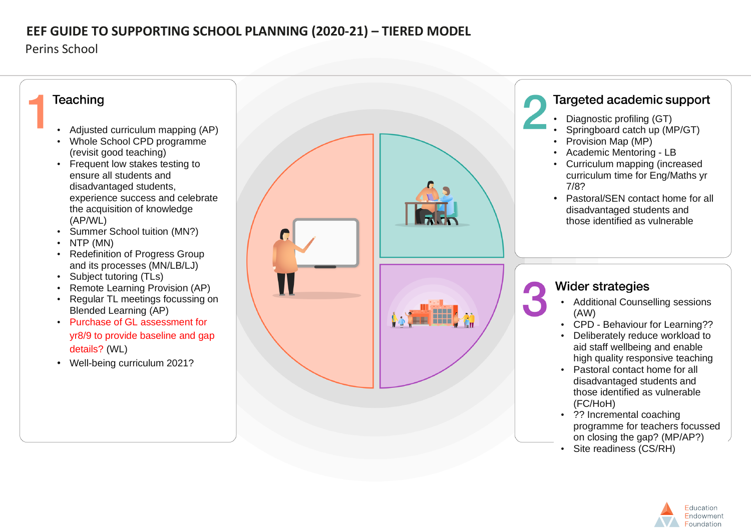### **EEF GUIDE TO SUPPORTING SCHOOL PLANNING (2020-21) – TIERED MODEL**

Perins School



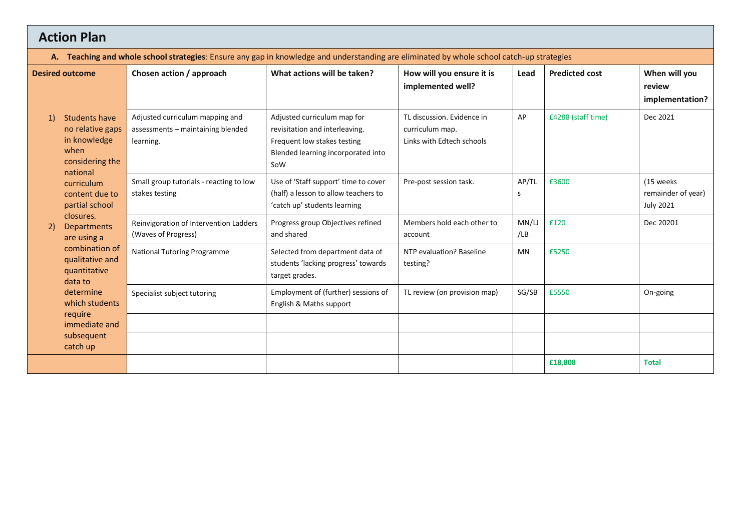# **Action Plan**

|  | A. Teaching and whole school strategies: Ensure any gap in knowledge and understanding are eliminated by whole school catch-up strategies |  |  |  |
|--|-------------------------------------------------------------------------------------------------------------------------------------------|--|--|--|
|--|-------------------------------------------------------------------------------------------------------------------------------------------|--|--|--|

| <b>Desired outcome</b>                                                                                | Chosen action / approach                                                          | What actions will be taken?                                                                                                               | How will you ensure it is<br>implemented well?                             | Lead        | <b>Predicted cost</b> | When will you<br>review<br>implementation?           |
|-------------------------------------------------------------------------------------------------------|-----------------------------------------------------------------------------------|-------------------------------------------------------------------------------------------------------------------------------------------|----------------------------------------------------------------------------|-------------|-----------------------|------------------------------------------------------|
| <b>Students have</b><br>1)<br>no relative gaps<br>in knowledge<br>when<br>considering the<br>national | Adjusted curriculum mapping and<br>assessments - maintaining blended<br>learning. | Adjusted curriculum map for<br>revisitation and interleaving.<br>Frequent low stakes testing<br>Blended learning incorporated into<br>SoW | TL discussion. Evidence in<br>curriculum map.<br>Links with Edtech schools | AP          | £4288 (staff time)    | Dec 2021                                             |
| curriculum<br>content due to<br>partial school                                                        | Small group tutorials - reacting to low<br>stakes testing                         | Use of 'Staff support' time to cover<br>(half) a lesson to allow teachers to<br>'catch up' students learning                              | Pre-post session task.                                                     | AP/TL<br>S  | £3600                 | (15 weeks)<br>remainder of year)<br><b>July 2021</b> |
| closures.<br><b>Departments</b><br>2)<br>are using a                                                  | Reinvigoration of Intervention Ladders<br>(Waves of Progress)                     | Progress group Objectives refined<br>and shared                                                                                           | Members hold each other to<br>account                                      | MN/L<br>/LB | £120                  | Dec 20201                                            |
| combination of<br>qualitative and<br>quantitative<br>data to                                          | <b>National Tutoring Programme</b>                                                | Selected from department data of<br>students 'lacking progress' towards<br>target grades.                                                 | NTP evaluation? Baseline<br>testing?                                       | <b>MN</b>   | £5250                 |                                                      |
| determine<br>which students<br>require                                                                | Specialist subject tutoring                                                       | Employment of (further) sessions of<br>English & Maths support                                                                            | TL review (on provision map)                                               | SG/SB       | £5550                 | On-going                                             |
| immediate and<br>subsequent                                                                           |                                                                                   |                                                                                                                                           |                                                                            |             |                       |                                                      |
| catch up                                                                                              |                                                                                   |                                                                                                                                           |                                                                            |             | £18,808               | <b>Total</b>                                         |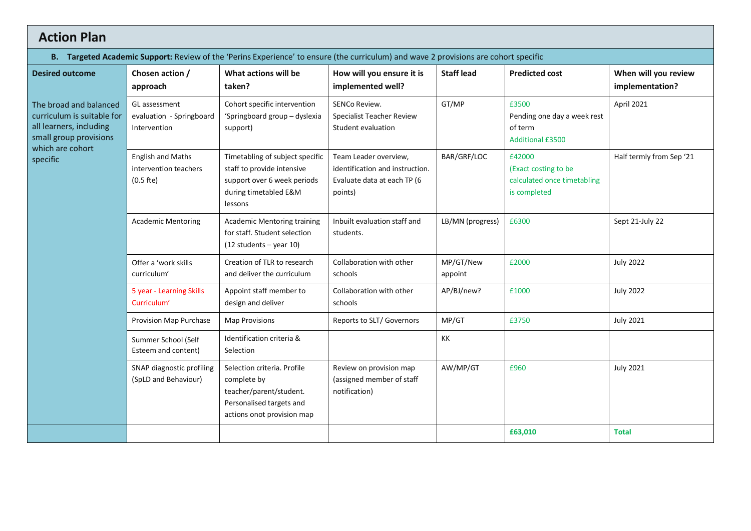## **Action Plan**

|  | B. Targeted Academic Support: Review of the 'Perins Experience' to ensure (the curriculum) and wave 2 provisions are cohort specific |  |  |  |  |
|--|--------------------------------------------------------------------------------------------------------------------------------------|--|--|--|--|
|--|--------------------------------------------------------------------------------------------------------------------------------------|--|--|--|--|

| <b>Desired outcome</b>                                                                                                        | Chosen action /<br>approach                                      | What actions will be<br>taken?                                                                                                   | How will you ensure it is<br>implemented well?                                                     | <b>Staff lead</b>    | <b>Predicted cost</b>                                                         | When will you review<br>implementation? |
|-------------------------------------------------------------------------------------------------------------------------------|------------------------------------------------------------------|----------------------------------------------------------------------------------------------------------------------------------|----------------------------------------------------------------------------------------------------|----------------------|-------------------------------------------------------------------------------|-----------------------------------------|
| The broad and balanced<br>curriculum is suitable for<br>all learners, including<br>small group provisions<br>which are cohort | GL assessment<br>evaluation - Springboard<br>Intervention        | Cohort specific intervention<br>'Springboard group - dyslexia<br>support)                                                        | <b>SENCo Review.</b><br>Specialist Teacher Review<br>Student evaluation                            | GT/MP                | £3500<br>Pending one day a week rest<br>of term<br><b>Additional £3500</b>    | April 2021                              |
| specific                                                                                                                      | <b>English and Maths</b><br>intervention teachers<br>$(0.5$ fte) | Timetabling of subject specific<br>staff to provide intensive<br>support over 6 week periods<br>during timetabled E&M<br>lessons | Team Leader overview,<br>identification and instruction.<br>Evaluate data at each TP (6<br>points) | BAR/GRF/LOC          | £42000<br>(Exact costing to be<br>calculated once timetabling<br>is completed | Half termly from Sep '21                |
|                                                                                                                               | <b>Academic Mentoring</b>                                        | <b>Academic Mentoring training</b><br>for staff. Student selection<br>$(12 students - year 10)$                                  | Inbuilt evaluation staff and<br>students.                                                          | LB/MN (progress)     | £6300                                                                         | Sept 21-July 22                         |
|                                                                                                                               | Offer a 'work skills<br>curriculum'                              | Creation of TLR to research<br>and deliver the curriculum                                                                        | Collaboration with other<br>schools                                                                | MP/GT/New<br>appoint | £2000                                                                         | <b>July 2022</b>                        |
|                                                                                                                               | 5 year - Learning Skills<br>Curriculum'                          | Appoint staff member to<br>design and deliver                                                                                    | Collaboration with other<br>schools                                                                | AP/BJ/new?           | £1000                                                                         | <b>July 2022</b>                        |
|                                                                                                                               | Provision Map Purchase                                           | <b>Map Provisions</b>                                                                                                            | Reports to SLT/ Governors                                                                          | MP/GT                | £3750                                                                         | <b>July 2021</b>                        |
|                                                                                                                               | Summer School (Self<br>Esteem and content)                       | Identification criteria &<br>Selection                                                                                           |                                                                                                    | KK                   |                                                                               |                                         |
|                                                                                                                               | SNAP diagnostic profiling<br>(SpLD and Behaviour)                | Selection criteria. Profile<br>complete by<br>teacher/parent/student.<br>Personalised targets and<br>actions onot provision map  | Review on provision map<br>(assigned member of staff<br>notification)                              | AW/MP/GT             | £960                                                                          | <b>July 2021</b>                        |
|                                                                                                                               |                                                                  |                                                                                                                                  |                                                                                                    |                      | £63,010                                                                       | <b>Total</b>                            |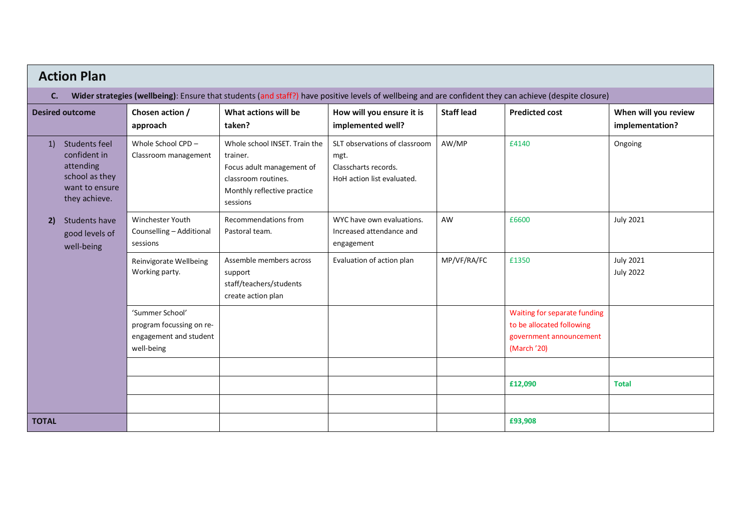| <b>Action Plan</b>                                                                                                                                           |                                                                                     |                                                                                                                                          |                                                                                             |                   |                                                                                                     |                                         |  |  |  |
|--------------------------------------------------------------------------------------------------------------------------------------------------------------|-------------------------------------------------------------------------------------|------------------------------------------------------------------------------------------------------------------------------------------|---------------------------------------------------------------------------------------------|-------------------|-----------------------------------------------------------------------------------------------------|-----------------------------------------|--|--|--|
| Wider strategies (wellbeing): Ensure that students (and staff?) have positive levels of wellbeing and are confident they can achieve (despite closure)<br>C. |                                                                                     |                                                                                                                                          |                                                                                             |                   |                                                                                                     |                                         |  |  |  |
| <b>Desired outcome</b>                                                                                                                                       | Chosen action /<br>approach                                                         | What actions will be<br>taken?                                                                                                           | How will you ensure it is<br>implemented well?                                              | <b>Staff lead</b> | <b>Predicted cost</b>                                                                               | When will you review<br>implementation? |  |  |  |
| Students feel<br>1)<br>confident in<br>attending<br>school as they<br>want to ensure<br>they achieve.                                                        | Whole School CPD -<br>Classroom management                                          | Whole school INSET. Train the<br>trainer.<br>Focus adult management of<br>classroom routines.<br>Monthly reflective practice<br>sessions | SLT observations of classroom<br>mgt.<br>Classcharts records.<br>HoH action list evaluated. | AW/MP             | £4140                                                                                               | Ongoing                                 |  |  |  |
| Students have<br>2)<br>good levels of<br>well-being                                                                                                          | Winchester Youth<br>Counselling - Additional<br>sessions                            | Recommendations from<br>Pastoral team.                                                                                                   | WYC have own evaluations.<br>Increased attendance and<br>engagement                         | AW                | £6600                                                                                               | <b>July 2021</b>                        |  |  |  |
|                                                                                                                                                              | Reinvigorate Wellbeing<br>Working party.                                            | Assemble members across<br>support<br>staff/teachers/students<br>create action plan                                                      | Evaluation of action plan                                                                   | MP/VF/RA/FC       | £1350                                                                                               | <b>July 2021</b><br><b>July 2022</b>    |  |  |  |
|                                                                                                                                                              | 'Summer School'<br>program focussing on re-<br>engagement and student<br>well-being |                                                                                                                                          |                                                                                             |                   | Waiting for separate funding<br>to be allocated following<br>government announcement<br>(March '20) |                                         |  |  |  |
|                                                                                                                                                              |                                                                                     |                                                                                                                                          |                                                                                             |                   |                                                                                                     |                                         |  |  |  |
|                                                                                                                                                              |                                                                                     |                                                                                                                                          |                                                                                             |                   | £12,090                                                                                             | <b>Total</b>                            |  |  |  |
|                                                                                                                                                              |                                                                                     |                                                                                                                                          |                                                                                             |                   |                                                                                                     |                                         |  |  |  |
| <b>TOTAL</b>                                                                                                                                                 |                                                                                     |                                                                                                                                          |                                                                                             |                   | £93,908                                                                                             |                                         |  |  |  |